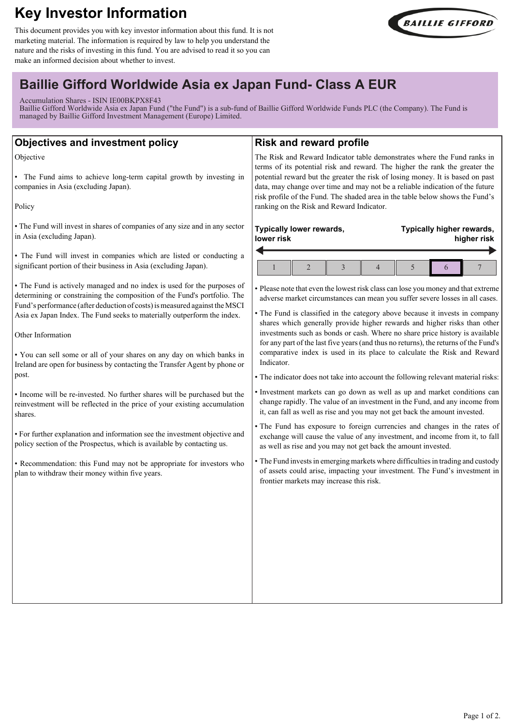# **Key Investor Information**

This document provides you with key investor information about this fund. It is not marketing material. The information is required by law to help you understand the nature and the risks of investing in this fund. You are advised to read it so you can make an informed decision about whether to invest.



## **Baillie Gifford Worldwide Asia ex Japan Fund- Class A EUR**

Accumulation Shares - ISIN IE00BKPX8F43

Baillie Gifford Worldwide Asia ex Japan Fund ("the Fund") is a sub-fund of Baillie Gifford Worldwide Funds PLC (the Company). The Fund is managed by Baillie Gifford Investment Management (Europe) Limited.

| <b>Objectives and investment policy</b>                                                                                                                                                                                           | <b>Risk and reward profile</b>                                                                                                                                                                                                                                                                |  |
|-----------------------------------------------------------------------------------------------------------------------------------------------------------------------------------------------------------------------------------|-----------------------------------------------------------------------------------------------------------------------------------------------------------------------------------------------------------------------------------------------------------------------------------------------|--|
| Objective                                                                                                                                                                                                                         | The Risk and Reward Indicator table demonstrates where the Fund ranks in<br>terms of its potential risk and reward. The higher the rank the greater the                                                                                                                                       |  |
| • The Fund aims to achieve long-term capital growth by investing in<br>companies in Asia (excluding Japan).                                                                                                                       | potential reward but the greater the risk of losing money. It is based on past<br>data, may change over time and may not be a reliable indication of the future<br>risk profile of the Fund. The shaded area in the table below shows the Fund's<br>ranking on the Risk and Reward Indicator. |  |
| Policy                                                                                                                                                                                                                            |                                                                                                                                                                                                                                                                                               |  |
| • The Fund will invest in shares of companies of any size and in any sector<br>in Asia (excluding Japan).                                                                                                                         | Typically lower rewards,<br>Typically higher rewards,<br>lower risk<br>higher risk                                                                                                                                                                                                            |  |
| • The Fund will invest in companies which are listed or conducting a<br>significant portion of their business in Asia (excluding Japan).                                                                                          | $\overline{7}$<br>$\overline{c}$<br>5<br>$\mathbf{1}$<br>3<br>$\overline{4}$<br>6                                                                                                                                                                                                             |  |
| • The Fund is actively managed and no index is used for the purposes of<br>determining or constraining the composition of the Fund's portfolio. The<br>Fund's performance (after deduction of costs) is measured against the MSCI | · Please note that even the lowest risk class can lose you money and that extreme<br>adverse market circumstances can mean you suffer severe losses in all cases.                                                                                                                             |  |
| Asia ex Japan Index. The Fund seeks to materially outperform the index.                                                                                                                                                           | • The Fund is classified in the category above because it invests in company<br>shares which generally provide higher rewards and higher risks than other                                                                                                                                     |  |
| Other Information                                                                                                                                                                                                                 | investments such as bonds or cash. Where no share price history is available<br>for any part of the last five years (and thus no returns), the returns of the Fund's                                                                                                                          |  |
| • You can sell some or all of your shares on any day on which banks in<br>Ireland are open for business by contacting the Transfer Agent by phone or<br>post.                                                                     | comparative index is used in its place to calculate the Risk and Reward<br>Indicator.<br>• The indicator does not take into account the following relevant material risks:                                                                                                                    |  |
| • Income will be re-invested. No further shares will be purchased but the<br>reinvestment will be reflected in the price of your existing accumulation<br>shares.                                                                 | · Investment markets can go down as well as up and market conditions can<br>change rapidly. The value of an investment in the Fund, and any income from<br>it, can fall as well as rise and you may not get back the amount invested.                                                         |  |
| · For further explanation and information see the investment objective and<br>policy section of the Prospectus, which is available by contacting us.                                                                              | • The Fund has exposure to foreign currencies and changes in the rates of<br>exchange will cause the value of any investment, and income from it, to fall<br>as well as rise and you may not get back the amount invested.                                                                    |  |
| • Recommendation: this Fund may not be appropriate for investors who<br>plan to withdraw their money within five years.                                                                                                           | • The Fund invests in emerging markets where difficulties in trading and custody<br>of assets could arise, impacting your investment. The Fund's investment in<br>frontier markets may increase this risk.                                                                                    |  |
|                                                                                                                                                                                                                                   |                                                                                                                                                                                                                                                                                               |  |
|                                                                                                                                                                                                                                   |                                                                                                                                                                                                                                                                                               |  |
|                                                                                                                                                                                                                                   |                                                                                                                                                                                                                                                                                               |  |
|                                                                                                                                                                                                                                   |                                                                                                                                                                                                                                                                                               |  |
|                                                                                                                                                                                                                                   |                                                                                                                                                                                                                                                                                               |  |
|                                                                                                                                                                                                                                   |                                                                                                                                                                                                                                                                                               |  |